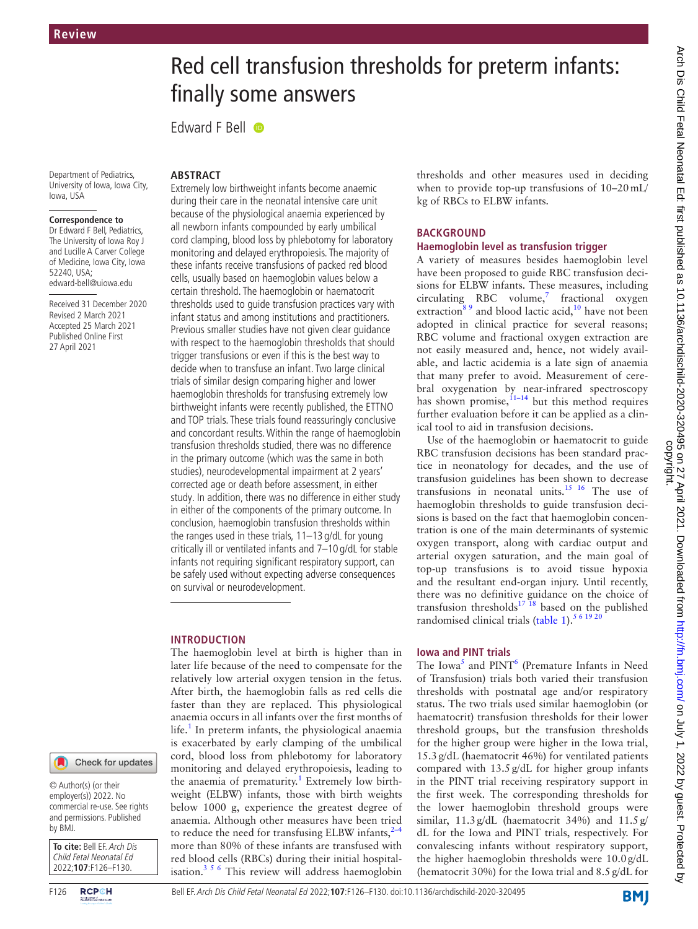# Red cell transfusion thresholds for preterm infants: finally some answers

Edward F Bell  $\bullet$ 

Department of Pediatrics, University of Iowa, Iowa City, Iowa, USA

#### **Correspondence to**

Dr Edward F Bell, Pediatrics, The University of Iowa Roy J and Lucille A Carver College of Medicine, Iowa City, Iowa 52240, USA; edward-bell@uiowa.edu

Received 31 December 2020 Revised 2 March 2021 Accepted 25 March 2021 Published Online First 27 April 2021



© Author(s) (or their employer(s)) 2022. No commercial re-use. See rights and permissions. Published by BMJ.

**To cite:** Bell EF. Arch Dis Child Fetal Neonatal Ed 2022;**107**:F126–F130.

## **ABSTRACT**

Extremely low birthweight infants become anaemic during their care in the neonatal intensive care unit because of the physiological anaemia experienced by all newborn infants compounded by early umbilical cord clamping, blood loss by phlebotomy for laboratory monitoring and delayed erythropoiesis. The majority of these infants receive transfusions of packed red blood cells, usually based on haemoglobin values below a certain threshold. The haemoglobin or haematocrit thresholds used to guide transfusion practices vary with infant status and among institutions and practitioners. Previous smaller studies have not given clear guidance with respect to the haemoglobin thresholds that should trigger transfusions or even if this is the best way to decide when to transfuse an infant. Two large clinical trials of similar design comparing higher and lower haemoglobin thresholds for transfusing extremely low birthweight infants were recently published, the ETTNO and TOP trials. These trials found reassuringly conclusive and concordant results. Within the range of haemoglobin transfusion thresholds studied, there was no difference in the primary outcome (which was the same in both studies), neurodevelopmental impairment at 2 years' corrected age or death before assessment, in either study. In addition, there was no difference in either study in either of the components of the primary outcome. In conclusion, haemoglobin transfusion thresholds within the ranges used in these trials, 11–13 g/dL for young critically ill or ventilated infants and 7–10 g/dL for stable infants not requiring significant respiratory support, can be safely used without expecting adverse consequences on survival or neurodevelopment.

#### **INTRODUCTION**

The haemoglobin level at birth is higher than in later life because of the need to compensate for the relatively low arterial oxygen tension in the fetus. After birth, the haemoglobin falls as red cells die faster than they are replaced. This physiological anaemia occurs in all infants over the first months of life.<sup>1</sup> In preterm infants, the physiological anaemia is exacerbated by early clamping of the umbilical cord, blood loss from phlebotomy for laboratory monitoring and delayed erythropoiesis, leading to the anaemia of prematurity.<sup>[1](#page-3-0)</sup> Extremely low birthweight (ELBW) infants, those with birth weights below 1000 g, experience the greatest degree of anaemia. Although other measures have been tried to reduce the need for transfusing ELBW infants,  $2-4$ more than 80% of these infants are transfused with red blood cells (RBCs) during their initial hospitalisation.[3 5 6](#page-3-2) This review will address haemoglobin

thresholds and other measures used in deciding when to provide top-up transfusions of 10–20mL/ kg of RBCs to ELBW infants.

## **BACKGROUND**

## **Haemoglobin level as transfusion trigger**

A variety of measures besides haemoglobin level have been proposed to guide RBC transfusion decisions for ELBW infants. These measures, including  $circulating$  RBC volume,<sup>7</sup> fractional oxygen extraction<sup>[8 9](#page-4-1)</sup> and blood lactic acid,<sup>10</sup> have not been adopted in clinical practice for several reasons; RBC volume and fractional oxygen extraction are not easily measured and, hence, not widely available, and lactic acidemia is a late sign of anaemia that many prefer to avoid. Measurement of cerebral oxygenation by near-infrared spectroscopy has shown promise,  $11-14$  but this method requires further evaluation before it can be applied as a clinical tool to aid in transfusion decisions.

Use of the haemoglobin or haematocrit to guide RBC transfusion decisions has been standard practice in neonatology for decades, and the use of transfusion guidelines has been shown to decrease transfusions in neonatal units.[15 16](#page-4-4) The use of haemoglobin thresholds to guide transfusion decisions is based on the fact that haemoglobin concentration is one of the main determinants of systemic oxygen transport, along with cardiac output and arterial oxygen saturation, and the main goal of top-up transfusions is to avoid tissue hypoxia and the resultant end-organ injury. Until recently, there was no definitive guidance on the choice of transfusion thresholds<sup>17</sup> <sup>18</sup> based on the published randomised clinical trials ([table](#page-1-0) 1).<sup>5 6 19 2</sup>

## **Iowa and PINT trials**

The Iowa<sup>5</sup> and PINT<sup>6</sup> (Premature Infants in Need of Transfusion) trials both varied their transfusion thresholds with postnatal age and/or respiratory status. The two trials used similar haemoglobin (or haematocrit) transfusion thresholds for their lower threshold groups, but the transfusion thresholds for the higher group were higher in the Iowa trial, 15.3g/dL (haematocrit 46%) for ventilated patients compared with 13.5g/dL for higher group infants in the PINT trial receiving respiratory support in the first week. The corresponding thresholds for the lower haemoglobin threshold groups were similar, 11.3g/dL (haematocrit 34%) and 11.5g/ dL for the Iowa and PINT trials, respectively. For convalescing infants without respiratory support, the higher haemoglobin thresholds were 10.0g/dL (hematocrit 30%) for the Iowa trial and 8.5g/dL for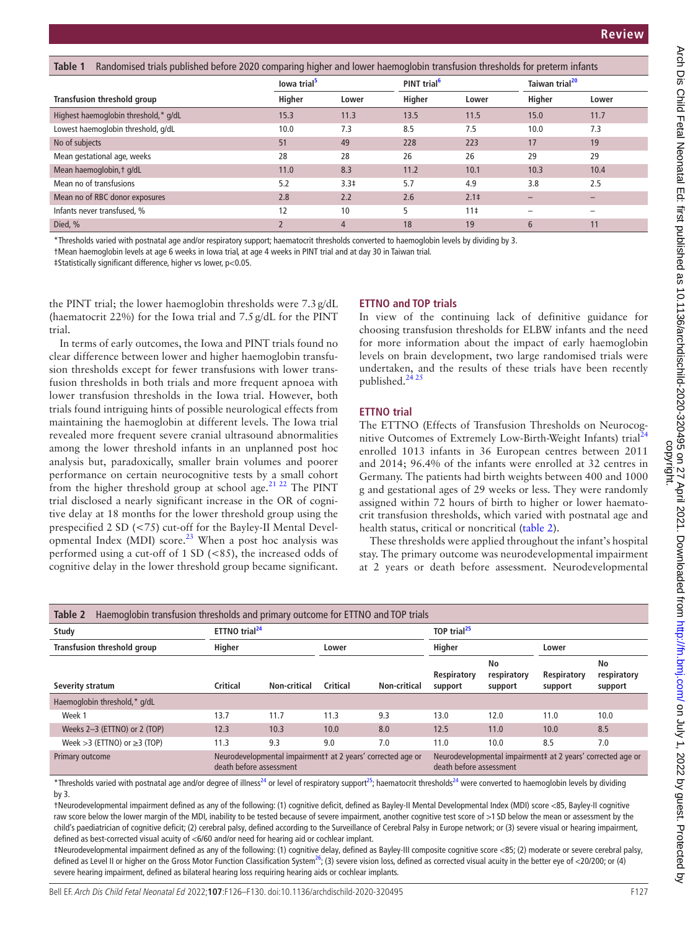<span id="page-1-0"></span>

| Randomised trials published before 2020 comparing higher and lower haemoglobin transfusion thresholds for preterm infants<br>Table 1 |                         |                  |                         |                  |                            |       |
|--------------------------------------------------------------------------------------------------------------------------------------|-------------------------|------------------|-------------------------|------------------|----------------------------|-------|
|                                                                                                                                      | lowa trial <sup>5</sup> |                  | PINT trial <sup>6</sup> |                  | Taiwan trial <sup>20</sup> |       |
| Transfusion threshold group                                                                                                          | Higher                  | Lower            | Higher                  | Lower            | Higher                     | Lower |
| Highest haemoglobin threshold,* g/dL                                                                                                 | 15.3                    | 11.3             | 13.5                    | 11.5             | 15.0                       | 11.7  |
| Lowest haemoglobin threshold, g/dL                                                                                                   | 10.0                    | 7.3              | 8.5                     | 7.5              | 10.0                       | 7.3   |
| No of subjects                                                                                                                       | 51                      | 49               | 228                     | 223              | 17                         | 19    |
| Mean gestational age, weeks                                                                                                          | 28                      | 28               | 26                      | 26               | 29                         | 29    |
| Mean haemoglobin, t g/dL                                                                                                             | 11.0                    | 8.3              | 11.2                    | 10.1             | 10.3                       | 10.4  |
| Mean no of transfusions                                                                                                              | 5.2                     | 3.3 <sup>‡</sup> | 5.7                     | 4.9              | 3.8                        | 2.5   |
| Mean no of RBC donor exposures                                                                                                       | 2.8                     | 2.2              | 2.6                     | 2.1 <sup>‡</sup> |                            |       |
| Infants never transfused. %                                                                                                          | 12                      | 10               | 5                       | 11 <sup>‡</sup>  |                            |       |
| Died, %                                                                                                                              |                         | $\overline{4}$   | 18                      | 19               | 6                          | 11    |

\*Thresholds varied with postnatal age and/or respiratory support; haematocrit thresholds converted to haemoglobin levels by dividing by 3.

†Mean haemoglobin levels at age 6 weeks in Iowa trial, at age 4 weeks in PINT trial and at day 30 in Taiwan trial.

‡Statistically significant difference, higher vs lower, p<0.05.

the PINT trial; the lower haemoglobin thresholds were 7.3g/dL (haematocrit 22%) for the Iowa trial and 7.5g/dL for the PINT trial.

In terms of early outcomes, the Iowa and PINT trials found no clear difference between lower and higher haemoglobin transfusion thresholds except for fewer transfusions with lower transfusion thresholds in both trials and more frequent apnoea with lower transfusion thresholds in the Iowa trial. However, both trials found intriguing hints of possible neurological effects from maintaining the haemoglobin at different levels. The Iowa trial revealed more frequent severe cranial ultrasound abnormalities among the lower threshold infants in an unplanned post hoc analysis but, paradoxically, smaller brain volumes and poorer performance on certain neurocognitive tests by a small cohort from the higher threshold group at school age.<sup>21 22</sup> The PINT trial disclosed a nearly significant increase in the OR of cognitive delay at 18 months for the lower threshold group using the prespecified 2 SD (<75) cut-off for the Bayley-II Mental Devel-opmental Index (MDI) score.<sup>[23](#page-4-8)</sup> When a post hoc analysis was performed using a cut-off of 1 SD (<85), the increased odds of cognitive delay in the lower threshold group became significant.

#### **ETTNO and TOP trials**

In view of the continuing lack of definitive guidance for choosing transfusion thresholds for ELBW infants and the need for more information about the impact of early haemoglobin levels on brain development, two large randomised trials were undertaken, and the results of these trials have been recently published. $^{24,25}$ 

#### **ETTNO trial**

The ETTNO (Effects of Transfusion Thresholds on Neurocog-nitive Outcomes of Extremely Low-Birth-Weight Infants) trial<sup>[24](#page-4-9)</sup> enrolled 1013 infants in 36 European centres between 2011 and 2014; 96.4% of the infants were enrolled at 32 centres in Germany. The patients had birth weights between 400 and 1000 g and gestational ages of 29 weeks or less. They were randomly assigned within 72 hours of birth to higher or lower haematocrit transfusion thresholds, which varied with postnatal age and health status, critical or noncritical [\(table](#page-1-1) 2).

These thresholds were applied throughout the infant's hospital stay. The primary outcome was neurodevelopmental impairment at 2 years or death before assessment. Neurodevelopmental

<span id="page-1-1"></span>

| Haemoglobin transfusion thresholds and primary outcome for ETTNO and TOP trials<br>Table 2 |                                                                                       |              |          |                                                                                        |                        |                              |                        |                              |
|--------------------------------------------------------------------------------------------|---------------------------------------------------------------------------------------|--------------|----------|----------------------------------------------------------------------------------------|------------------------|------------------------------|------------------------|------------------------------|
| Study                                                                                      | ETTNO trial <sup>24</sup>                                                             |              |          | TOP trial <sup>25</sup>                                                                |                        |                              |                        |                              |
| Transfusion threshold group                                                                | Higher                                                                                |              | Lower    |                                                                                        | Higher                 |                              | Lower                  |                              |
| Severity stratum                                                                           | <b>Critical</b>                                                                       | Non-critical | Critical | Non-critical                                                                           | Respiratory<br>support | No<br>respiratory<br>support | Respiratory<br>support | No<br>respiratory<br>support |
| Haemoglobin threshold,* g/dL                                                               |                                                                                       |              |          |                                                                                        |                        |                              |                        |                              |
| Week 1                                                                                     | 13.7                                                                                  | 11.7         | 11.3     | 9.3                                                                                    | 13.0                   | 12.0                         | 11.0                   | 10.0                         |
| Weeks 2-3 (ETTNO) or 2 (TOP)                                                               | 12.3                                                                                  | 10.3         | 10.0     | 8.0                                                                                    | 12.5                   | 11.0                         | 10.0                   | 8.5                          |
| Week $>3$ (ETTNO) or $\geq 3$ (TOP)                                                        | 11.3                                                                                  | 9.3          | 9.0      | 7.0                                                                                    | 11.0                   | 10.0                         | 8.5                    | 7.0                          |
| Primary outcome                                                                            | Neurodevelopmental impairment at 2 years' corrected age or<br>death before assessment |              |          | Neurodevelopmental impairment# at 2 years' corrected age or<br>death before assessment |                        |                              |                        |                              |

\*Thresholds varied with postnatal age and/or degree of illness<sup>[24](#page-4-9)</sup> or level of respiratory support<sup>25</sup>; haematocrit thresholds<sup>24</sup> were converted to haemoglobin levels by dividing by 3.

†Neurodevelopmental impairment defined as any of the following: (1) cognitive deficit, defined as Bayley-II Mental Developmental Index (MDI) score <85, Bayley-II cognitive raw score below the lower margin of the MDI, inability to be tested because of severe impairment, another cognitive test score of >1 SD below the mean or assessment by the child's paediatrician of cognitive deficit; (2) cerebral palsy, defined according to the Surveillance of Cerebral Palsy in Europe network; or (3) severe visual or hearing impairment, defined as best-corrected visual acuity of <6/60 and/or need for hearing aid or cochlear implant.

‡Neurodevelopmental impairment defined as any of the following: (1) cognitive delay, defined as Bayley-III composite cognitive score <85; (2) moderate or severe cerebral palsy, defined as Level II or higher on the Gross Motor Function Classification System<sup>26</sup>; (3) severe vision loss, defined as corrected visual acuity in the better eye of <20/200; or (4) severe hearing impairment, defined as bilateral hearing loss requiring hearing aids or cochlear implants.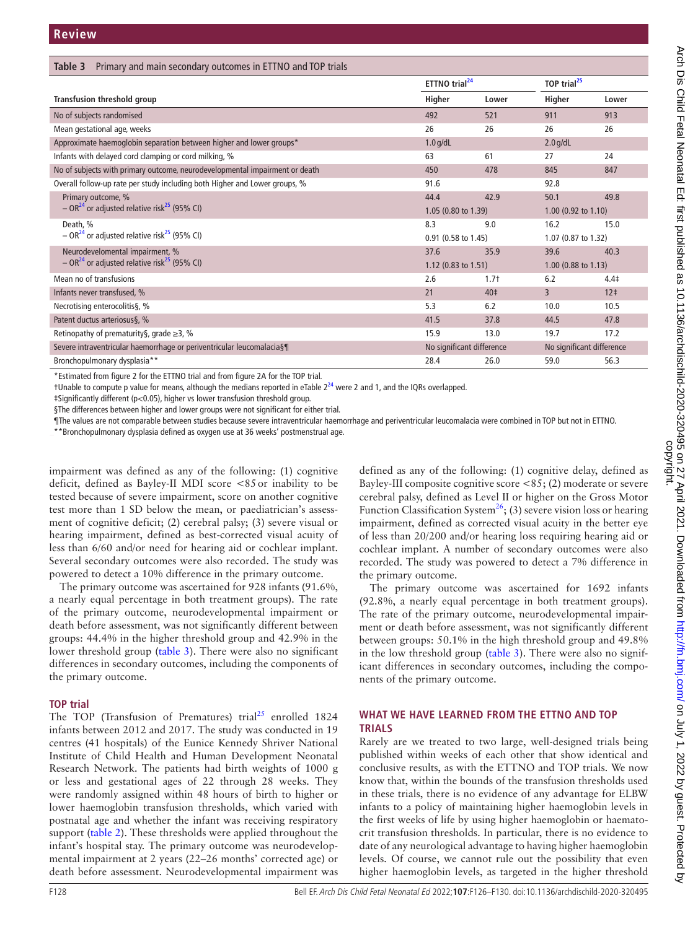<span id="page-2-0"></span>

| Primary and main secondary outcomes in ETTNO and TOP trials<br>Table 3      |                     |                                                        |                       |                         |  |
|-----------------------------------------------------------------------------|---------------------|--------------------------------------------------------|-----------------------|-------------------------|--|
|                                                                             |                     | ETTNO trial <sup>24</sup>                              |                       | TOP trial <sup>25</sup> |  |
| Transfusion threshold group                                                 | Higher              | Lower                                                  | Higher                | Lower                   |  |
| No of subjects randomised                                                   | 492                 | 521                                                    | 911                   | 913                     |  |
| Mean gestational age, weeks                                                 | 26                  | 26                                                     | 26                    | 26                      |  |
| Approximate haemoglobin separation between higher and lower groups*         | $1.0$ g/dL          |                                                        | $2.0$ g/dL            |                         |  |
| Infants with delayed cord clamping or cord milking, %                       | 63                  | 61                                                     | 27                    | 24                      |  |
| No of subjects with primary outcome, neurodevelopmental impairment or death | 450                 | 478                                                    | 845                   | 847                     |  |
| Overall follow-up rate per study including both Higher and Lower groups, %  | 91.6                |                                                        | 92.8                  |                         |  |
| Primary outcome, %                                                          | 44.4                | 42.9                                                   | 50.1                  | 49.8                    |  |
| $-$ OR <sup>24</sup> or adjusted relative risk <sup>25</sup> (95% CI)       | 1.05 (0.80 to 1.39) |                                                        | $1.00$ (0.92 to 1.10) |                         |  |
| Death, %                                                                    | 8.3                 | 9.0                                                    | 16.2                  | 15.0                    |  |
| $-$ OR <sup>24</sup> or adjusted relative risk <sup>25</sup> (95% CI)       | 0.91 (0.58 to 1.45) |                                                        | 1.07 (0.87 to 1.32)   |                         |  |
| Neurodevelomental impairment, %                                             | 37.6                | 35.9                                                   | 39.6                  | 40.3                    |  |
| $-$ OR <sup>24</sup> or adjusted relative risk <sup>25</sup> (95% CI)       | 1.12 (0.83 to 1.51) |                                                        | $1.00$ (0.88 to 1.13) |                         |  |
| Mean no of transfusions                                                     | 2.6                 | $1.7+$                                                 | 6.2                   | 4.4 <sup>‡</sup>        |  |
| Infants never transfused, %                                                 | 21                  | 40‡                                                    | $\overline{3}$        | 12 <sup>‡</sup>         |  |
| Necrotising enterocolitis§, %                                               | 5.3                 | 6.2                                                    | 10.0                  | 10.5                    |  |
| Patent ductus arteriosus§, %                                                | 41.5                | 37.8                                                   | 44.5                  | 47.8                    |  |
| Retinopathy of prematurity§, grade $\geq$ 3, %                              | 15.9                | 13.0                                                   | 19.7                  | 17.2                    |  |
| Severe intraventricular haemorrhage or periventricular leucomalacia§¶       |                     | No significant difference<br>No significant difference |                       |                         |  |
| Bronchopulmonary dysplasia**                                                | 28.4                | 26.0                                                   | 59.0                  | 56.3                    |  |

\*Estimated from figure 2 for the ETTNO trial and from figure 2A for the TOP trial.

†Unable to compute p value for means, although the medians reported in eTable  $2^{24}$  were 2 and 1, and the IQRs overlapped.

‡Significantly different (p<0.05), higher vs lower transfusion threshold group.

§The differences between higher and lower groups were not significant for either trial.

¶The values are not comparable between studies because severe intraventricular haemorrhage and periventricular leucomalacia were combined in TOP but not in ETTNO.

\*\*Bronchopulmonary dysplasia defined as oxygen use at 36 weeks' postmenstrual age.

impairment was defined as any of the following: (1) cognitive deficit, defined as Bayley-II MDI score <85or inability to be tested because of severe impairment, score on another cognitive test more than 1 SD below the mean, or paediatrician's assessment of cognitive deficit; (2) cerebral palsy; (3) severe visual or hearing impairment, defined as best-corrected visual acuity of less than 6/60 and/or need for hearing aid or cochlear implant. Several secondary outcomes were also recorded. The study was powered to detect a 10% difference in the primary outcome.

The primary outcome was ascertained for 928 infants (91.6%, a nearly equal percentage in both treatment groups). The rate of the primary outcome, neurodevelopmental impairment or death before assessment, was not significantly different between groups: 44.4% in the higher threshold group and 42.9% in the lower threshold group [\(table](#page-2-0) 3). There were also no significant differences in secondary outcomes, including the components of the primary outcome.

#### **TOP trial**

The TOP (Transfusion of Prematures) trial<sup>25</sup> enrolled 1824 infants between 2012 and 2017. The study was conducted in 19 centres (41 hospitals) of the Eunice Kennedy Shriver National Institute of Child Health and Human Development Neonatal Research Network. The patients had birth weights of 1000 g or less and gestational ages of 22 through 28 weeks. They were randomly assigned within 48 hours of birth to higher or lower haemoglobin transfusion thresholds, which varied with postnatal age and whether the infant was receiving respiratory support [\(table](#page-1-1) 2). These thresholds were applied throughout the infant's hospital stay. The primary outcome was neurodevelopmental impairment at 2 years (22–26 months' corrected age) or death before assessment. Neurodevelopmental impairment was

defined as any of the following: (1) cognitive delay, defined as Bayley-III composite cognitive score <85; (2) moderate or severe cerebral palsy, defined as Level II or higher on the Gross Motor Function Classification System<sup>26</sup>; (3) severe vision loss or hearing impairment, defined as corrected visual acuity in the better eye of less than 20/200 and/or hearing loss requiring hearing aid or cochlear implant. A number of secondary outcomes were also recorded. The study was powered to detect a 7% difference in the primary outcome.

The primary outcome was ascertained for 1692 infants (92.8%, a nearly equal percentage in both treatment groups). The rate of the primary outcome, neurodevelopmental impairment or death before assessment, was not significantly different between groups: 50.1% in the high threshold group and 49.8% in the low threshold group [\(table](#page-2-0) 3). There were also no significant differences in secondary outcomes, including the components of the primary outcome.

#### **WHAT WE HAVE LEARNED FROM THE ETTNO AND TOP TRIALS**

Rarely are we treated to two large, well-designed trials being published within weeks of each other that show identical and conclusive results, as with the ETTNO and TOP trials. We now know that, within the bounds of the transfusion thresholds used in these trials, there is no evidence of any advantage for ELBW infants to a policy of maintaining higher haemoglobin levels in the first weeks of life by using higher haemoglobin or haematocrit transfusion thresholds. In particular, there is no evidence to date of any neurological advantage to having higher haemoglobin levels. Of course, we cannot rule out the possibility that even higher haemoglobin levels, as targeted in the higher threshold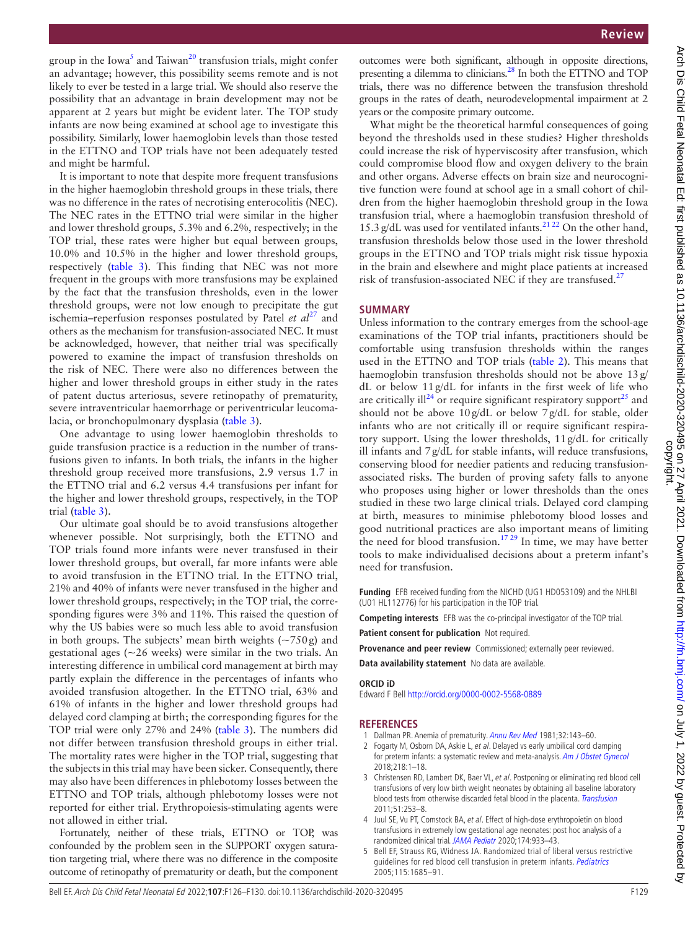Arch Dis Child Fetal Neonatal Ed: first published as 10.1136/archdischild-2020-320495 on 27 April 2021. Downloaded from http://fn.bmj.com/ on July 1, 2022 by guest. Protected by<br>copyright. Arch Dis Child Fetal Neonatal Ed: first published as 10.1136/archdischild-2020-320495 on 27 April 2021. Downloaded from <http://fn.bmj.com/> on July 1, 2022 by guest. Protected by

group in the Iowa<sup>[5](#page-3-3)</sup> and Taiwan<sup>[20](#page-4-10)</sup> transfusion trials, might confer an advantage; however, this possibility seems remote and is not likely to ever be tested in a large trial. We should also reserve the possibility that an advantage in brain development may not be apparent at 2 years but might be evident later. The TOP study infants are now being examined at school age to investigate this possibility. Similarly, lower haemoglobin levels than those tested in the ETTNO and TOP trials have not been adequately tested and might be harmful.

It is important to note that despite more frequent transfusions in the higher haemoglobin threshold groups in these trials, there was no difference in the rates of necrotising enterocolitis (NEC). The NEC rates in the ETTNO trial were similar in the higher and lower threshold groups, 5.3% and 6.2%, respectively; in the TOP trial, these rates were higher but equal between groups, 10.0% and 10.5% in the higher and lower threshold groups, respectively ([table](#page-2-0) 3). This finding that NEC was not more frequent in the groups with more transfusions may be explained by the fact that the transfusion thresholds, even in the lower threshold groups, were not low enough to precipitate the gut ischemia–reperfusion responses postulated by Patel *et al*<sup>27</sup> and others as the mechanism for transfusion-associated NEC. It must be acknowledged, however, that neither trial was specifically powered to examine the impact of transfusion thresholds on the risk of NEC. There were also no differences between the higher and lower threshold groups in either study in the rates of patent ductus arteriosus, severe retinopathy of prematurity, severe intraventricular haemorrhage or periventricular leucomalacia, or bronchopulmonary dysplasia [\(table](#page-2-0) 3).

One advantage to using lower haemoglobin thresholds to guide transfusion practice is a reduction in the number of transfusions given to infants. In both trials, the infants in the higher threshold group received more transfusions, 2.9 versus 1.7 in the ETTNO trial and 6.2 versus 4.4 transfusions per infant for the higher and lower threshold groups, respectively, in the TOP trial [\(table](#page-2-0) 3).

Our ultimate goal should be to avoid transfusions altogether whenever possible. Not surprisingly, both the ETTNO and TOP trials found more infants were never transfused in their lower threshold groups, but overall, far more infants were able to avoid transfusion in the ETTNO trial. In the ETTNO trial, 21% and 40% of infants were never transfused in the higher and lower threshold groups, respectively; in the TOP trial, the corresponding figures were 3% and 11%. This raised the question of why the US babies were so much less able to avoid transfusion in both groups. The subjects' mean birth weights  $(-750g)$  and gestational ages ( $\sim$ 26 weeks) were similar in the two trials. An interesting difference in umbilical cord management at birth may partly explain the difference in the percentages of infants who avoided transfusion altogether. In the ETTNO trial, 63% and 61% of infants in the higher and lower threshold groups had delayed cord clamping at birth; the corresponding figures for the TOP trial were only 27% and 24% [\(table](#page-2-0) 3). The numbers did not differ between transfusion threshold groups in either trial. The mortality rates were higher in the TOP trial, suggesting that the subjects in this trial may have been sicker. Consequently, there may also have been differences in phlebotomy losses between the ETTNO and TOP trials, although phlebotomy losses were not reported for either trial. Erythropoiesis-stimulating agents were not allowed in either trial.

Fortunately, neither of these trials, ETTNO or TOP, was confounded by the problem seen in the SUPPORT oxygen saturation targeting trial, where there was no difference in the composite outcome of retinopathy of prematurity or death, but the component

outcomes were both significant, although in opposite directions, presenting a dilemma to clinicians[.28](#page-4-14) In both the ETTNO and TOP trials, there was no difference between the transfusion threshold groups in the rates of death, neurodevelopmental impairment at 2 years or the composite primary outcome.

What might be the theoretical harmful consequences of going beyond the thresholds used in these studies? Higher thresholds could increase the risk of hyperviscosity after transfusion, which could compromise blood flow and oxygen delivery to the brain and other organs. Adverse effects on brain size and neurocognitive function were found at school age in a small cohort of children from the higher haemoglobin threshold group in the Iowa transfusion trial, where a haemoglobin transfusion threshold of 15.3 g/dL was used for ventilated infants.<sup>21,22</sup> On the other hand, transfusion thresholds below those used in the lower threshold groups in the ETTNO and TOP trials might risk tissue hypoxia in the brain and elsewhere and might place patients at increased risk of transfusion-associated NEC if they are transfused.<sup>27</sup>

## **SUMMARY**

Unless information to the contrary emerges from the school-age examinations of the TOP trial infants, practitioners should be comfortable using transfusion thresholds within the ranges used in the ETTNO and TOP trials [\(table](#page-1-1) 2). This means that haemoglobin transfusion thresholds should not be above 13g/ dL or below 11g/dL for infants in the first week of life who are critically ill<sup>24</sup> or require significant respiratory support<sup>25</sup> and should not be above 10g/dL or below 7g/dL for stable, older infants who are not critically ill or require significant respiratory support. Using the lower thresholds, 11g/dL for critically ill infants and 7g/dL for stable infants, will reduce transfusions, conserving blood for needier patients and reducing transfusionassociated risks. The burden of proving safety falls to anyone who proposes using higher or lower thresholds than the ones studied in these two large clinical trials. Delayed cord clamping at birth, measures to minimise phlebotomy blood losses and good nutritional practices are also important means of limiting the need for blood transfusion.<sup>17 29</sup> In time, we may have better tools to make individualised decisions about a preterm infant's need for transfusion.

**Funding** EFB received funding from the NICHD (UG1 HD053109) and the NHLBI (U01 HL112776) for his participation in the TOP trial.

**Competing interests** EFB was the co-principal investigator of the TOP trial.

**Patient consent for publication** Not required.

Provenance and peer review Commissioned; externally peer reviewed.

**Data availability statement** No data are available.

#### **ORCID iD**

Edward F Bell<http://orcid.org/0000-0002-5568-0889>

## **REFERENCES**

- <span id="page-3-0"></span>1 Dallman PR. Anemia of prematurity. [Annu Rev Med](http://dx.doi.org/10.1146/annurev.me.32.020181.001043) 1981;32:143-60.
- <span id="page-3-1"></span>2 Fogarty M, Osborn DA, Askie L, et al. Delayed vs early umbilical cord clamping for preterm infants: a systematic review and meta-analysis. [Am J Obstet Gynecol](http://dx.doi.org/10.1016/j.ajog.2017.10.231) 2018;218:1–18.
- <span id="page-3-2"></span>3 Christensen RD, Lambert DK, Baer VL, et al. Postponing or eliminating red blood cell transfusions of very low birth weight neonates by obtaining all baseline laboratory blood tests from otherwise discarded fetal blood in the placenta. [Transfusion](http://dx.doi.org/10.1111/j.1537-2995.2010.02827.x) 2011;51:253–8.
- 4 Juul SE, Vu PT, Comstock BA, et al. Effect of high-dose erythropoietin on blood transfusions in extremely low gestational age neonates: post hoc analysis of a randomized clinical trial. [JAMA Pediatr](http://dx.doi.org/10.1001/jamapediatrics.2020.2271) 2020;174:933–43.
- <span id="page-3-3"></span>5 Bell EF, Strauss RG, Widness JA. Randomized trial of liberal versus restrictive guidelines for red blood cell transfusion in preterm infants. [Pediatrics](http://dx.doi.org/10.1542/peds.2004-1884) 2005;115:1685–91.